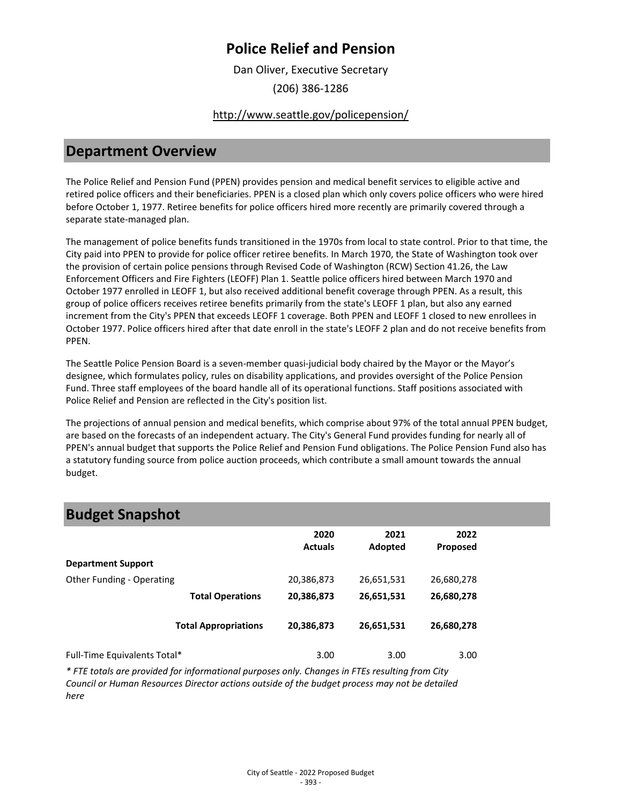Dan Oliver, Executive Secretary

(206) 386-1286

### <http://www.seattle.gov/policepension/>

## **Department Overview**

The Police Relief and Pension Fund (PPEN) provides pension and medical benefit services to eligible active and retired police officers and their beneficiaries. PPEN is a closed plan which only covers police officers who were hired before October 1, 1977. Retiree benefits for police officers hired more recently are primarily covered through a separate state-managed plan.

The management of police benefits funds transitioned in the 1970s from local to state control. Prior to that time, the City paid into PPEN to provide for police officer retiree benefits. In March 1970, the State of Washington took over the provision of certain police pensions through Revised Code of Washington (RCW) Section 41.26, the Law Enforcement Officers and Fire Fighters (LEOFF) Plan 1. Seattle police officers hired between March 1970 and October 1977 enrolled in LEOFF 1, but also received additional benefit coverage through PPEN. As a result, this group of police officers receives retiree benefits primarily from the state's LEOFF 1 plan, but also any earned increment from the City's PPEN that exceeds LEOFF 1 coverage. Both PPEN and LEOFF 1 closed to new enrollees in October 1977. Police officers hired after that date enroll in the state's LEOFF 2 plan and do not receive benefits from PPEN.

The Seattle Police Pension Board is a seven-member quasi-judicial body chaired by the Mayor or the Mayor's designee, which formulates policy, rules on disability applications, and provides oversight of the Police Pension Fund. Three staff employees of the board handle all of its operational functions. Staff positions associated with Police Relief and Pension are reflected in the City's position list.

The projections of annual pension and medical benefits, which comprise about 97% of the total annual PPEN budget, are based on the forecasts of an independent actuary. The City's General Fund provides funding for nearly all of PPEN's annual budget that supports the Police Relief and Pension Fund obligations. The Police Pension Fund also has a statutory funding source from police auction proceeds, which contribute a small amount towards the annual budget.

## **Budget Snapshot**

| .                            |                             |                        |                 |                         |  |
|------------------------------|-----------------------------|------------------------|-----------------|-------------------------|--|
|                              |                             | 2020<br><b>Actuals</b> | 2021<br>Adopted | 2022<br><b>Proposed</b> |  |
| <b>Department Support</b>    |                             |                        |                 |                         |  |
| Other Funding - Operating    |                             | 20,386,873             | 26,651,531      | 26,680,278              |  |
|                              | <b>Total Operations</b>     | 20,386,873             | 26,651,531      | 26,680,278              |  |
|                              | <b>Total Appropriations</b> | 20,386,873             | 26,651,531      | 26,680,278              |  |
| Full-Time Equivalents Total* |                             | 3.00                   | 3.00            | 3.00                    |  |

*\* FTE totals are provided for informational purposes only. Changes in FTEs resulting from City Council or Human Resources Director actions outside of the budget process may not be detailed here*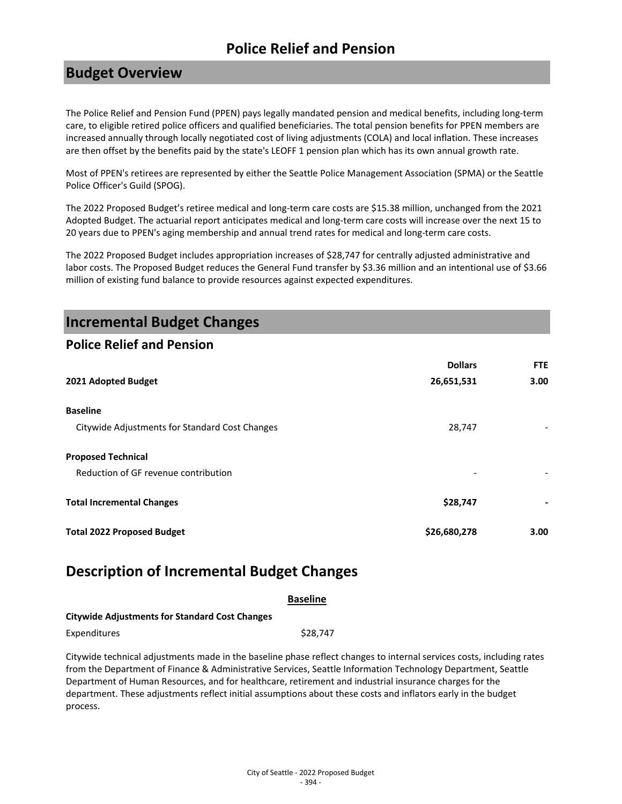## **Budget Overview**

The Police Relief and Pension Fund (PPEN) pays legally mandated pension and medical benefits, including long-term care, to eligible retired police officers and qualified beneficiaries. The total pension benefits for PPEN members are increased annually through locally negotiated cost of living adjustments (COLA) and local inflation. These increases are then offset by the benefits paid by the state's LEOFF 1 pension plan which has its own annual growth rate.

Most of PPEN's retirees are represented by either the Seattle Police Management Association (SPMA) or the Seattle Police Officer's Guild (SPOG).

The 2022 Proposed Budget's retiree medical and long-term care costs are \$15.38 million, unchanged from the 2021 Adopted Budget. The actuarial report anticipates medical and long-term care costs will increase over the next 15 to 20 years due to PPEN's aging membership and annual trend rates for medical and long-term care costs.

The 2022 Proposed Budget includes appropriation increases of \$28,747 for centrally adjusted administrative and labor costs. The Proposed Budget reduces the General Fund transfer by \$3.36 million and an intentional use of \$3.66 million of existing fund balance to provide resources against expected expenditures.

## **Incremental Budget Changes**

### **Police Relief and Pension**

|                                                | <b>Dollars</b> | <b>FTE</b> |
|------------------------------------------------|----------------|------------|
| 2021 Adopted Budget                            | 26,651,531     | 3.00       |
| <b>Baseline</b>                                |                |            |
| Citywide Adjustments for Standard Cost Changes | 28,747         |            |
| <b>Proposed Technical</b>                      |                |            |
| Reduction of GF revenue contribution           |                |            |
| <b>Total Incremental Changes</b>               | \$28,747       |            |
| <b>Total 2022 Proposed Budget</b>              | \$26,680,278   | 3.00       |

## **Description of Incremental Budget Changes**

|                                                       | <b>Baseline</b> |
|-------------------------------------------------------|-----------------|
| <b>Citywide Adjustments for Standard Cost Changes</b> |                 |
| Expenditures                                          | \$28.747        |

Citywide technical adjustments made in the baseline phase reflect changes to internal services costs, including rates from the Department of Finance & Administrative Services, Seattle Information Technology Department, Seattle Department of Human Resources, and for healthcare, retirement and industrial insurance charges for the department. These adjustments reflect initial assumptions about these costs and inflators early in the budget process.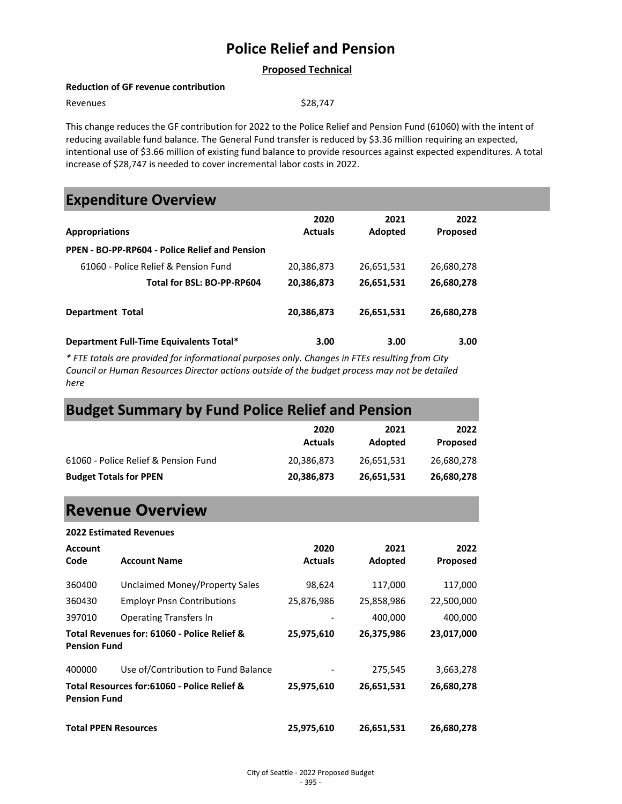#### **Proposed Technical**

#### **Reduction of GF revenue contribution**

Revenues \$28,747

This change reduces the GF contribution for 2022 to the Police Relief and Pension Fund (61060) with the intent of reducing available fund balance. The General Fund transfer is reduced by \$3.36 million requiring an expected, intentional use of \$3.66 million of existing fund balance to provide resources against expected expenditures. A total increase of \$28,747 is needed to cover incremental labor costs in 2022.

### **Expenditure Overview**

|                                                | 2020           | 2021       | 2022            |  |
|------------------------------------------------|----------------|------------|-----------------|--|
| <b>Appropriations</b>                          | <b>Actuals</b> | Adopted    | <b>Proposed</b> |  |
| PPEN - BO-PP-RP604 - Police Relief and Pension |                |            |                 |  |
| 61060 - Police Relief & Pension Fund           | 20,386,873     | 26,651,531 | 26,680,278      |  |
| Total for BSL: BO-PP-RP604                     | 20,386,873     | 26,651,531 | 26,680,278      |  |
| <b>Department Total</b>                        | 20,386,873     | 26,651,531 | 26,680,278      |  |
| Department Full-Time Equivalents Total*        | 3.00           | 3.00       | 3.00            |  |

*\* FTE totals are provided for informational purposes only. Changes in FTEs resulting from City Council or Human Resources Director actions outside of the budget process may not be detailed here*

## **Budget Summary by Fund Police Relief and Pension**

|                                      | 2020<br><b>Actuals</b> | 2021<br>Adopted | 2022<br>Proposed |
|--------------------------------------|------------------------|-----------------|------------------|
| 61060 - Police Relief & Pension Fund | 20,386,873             | 26,651,531      | 26,680,278       |
| <b>Budget Totals for PPEN</b>        | 20,386,873             | 26,651,531      | 26,680,278       |

## **Revenue Overview**

|                             | <b>2022 Estimated Revenues</b>              |                |            |                 |
|-----------------------------|---------------------------------------------|----------------|------------|-----------------|
| <b>Account</b>              |                                             | 2020           | 2021       | 2022            |
| Code                        | <b>Account Name</b>                         | <b>Actuals</b> | Adopted    | <b>Proposed</b> |
| 360400                      | Unclaimed Money/Property Sales              | 98,624         | 117,000    | 117,000         |
| 360430                      | <b>Employr Pnsn Contributions</b>           | 25,876,986     | 25,858,986 | 22,500,000      |
| 397010                      | <b>Operating Transfers In</b>               |                | 400,000    | 400,000         |
| <b>Pension Fund</b>         | Total Revenues for: 61060 - Police Relief & | 25,975,610     | 26,375,986 | 23,017,000      |
| 400000                      | Use of/Contribution to Fund Balance         |                | 275,545    | 3,663,278       |
| <b>Pension Fund</b>         | Total Resources for:61060 - Police Relief & | 25,975,610     | 26,651,531 | 26,680,278      |
| <b>Total PPEN Resources</b> |                                             | 25,975,610     | 26,651,531 | 26,680,278      |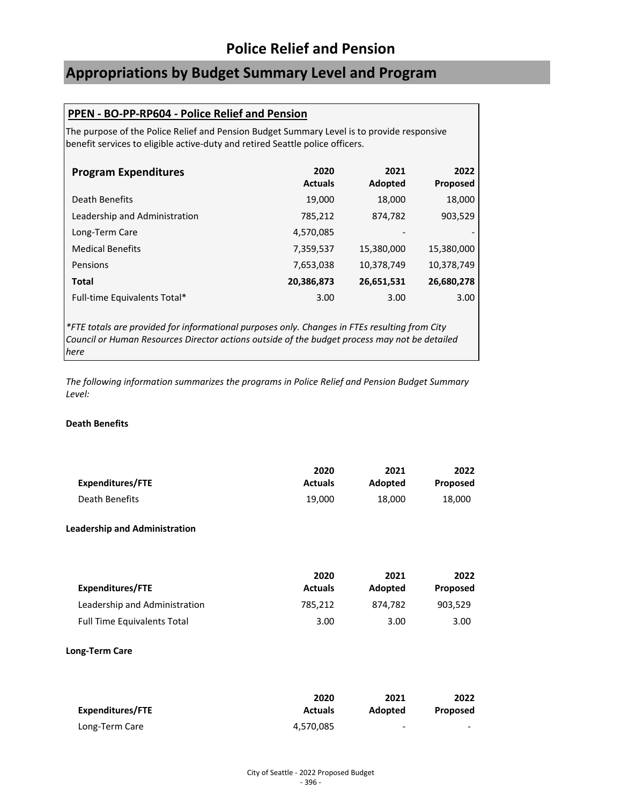# **Appropriations by Budget Summary Level and Program**

### **PPEN - BO-PP-RP604 - Police Relief and Pension**

The purpose of the Police Relief and Pension Budget Summary Level is to provide responsive benefit services to eligible active-duty and retired Seattle police officers.

| <b>Program Expenditures</b>   | 2020<br><b>Actuals</b> | 2021<br>Adopted          | 2022<br><b>Proposed</b> |
|-------------------------------|------------------------|--------------------------|-------------------------|
| Death Benefits                | 19,000                 | 18,000                   | 18,000                  |
| Leadership and Administration | 785,212                | 874,782                  | 903,529                 |
| Long-Term Care                | 4,570,085              | $\overline{\phantom{0}}$ |                         |
| <b>Medical Benefits</b>       | 7,359,537              | 15,380,000               | 15,380,000              |
| Pensions                      | 7,653,038              | 10,378,749               | 10,378,749              |
| <b>Total</b>                  | 20,386,873             | 26,651,531               | 26,680,278              |
| Full-time Equivalents Total*  | 3.00                   | 3.00                     | 3.00                    |

*\*FTE totals are provided for informational purposes only. Changes in FTEs resulting from City Council or Human Resources Director actions outside of the budget process may not be detailed here*

*The following information summarizes the programs in Police Relief and Pension Budget Summary Level:*

#### **Death Benefits**

|                  | 2020           | 2021    | 2022     |
|------------------|----------------|---------|----------|
| Expenditures/FTE | <b>Actuals</b> | Adopted | Proposed |
| Death Benefits   | 19.000         | 18.000  | 18,000   |

#### **Leadership and Administration**

|                                    | 2020           | 2021    | 2022     |
|------------------------------------|----------------|---------|----------|
| Expenditures/FTE                   | <b>Actuals</b> | Adopted | Proposed |
| Leadership and Administration      | 785.212        | 874.782 | 903.529  |
| <b>Full Time Equivalents Total</b> | 3.00           | 3.00    | 3.00     |

#### **Long-Term Care**

|                  | 2020           | 2021    | 2022                     |
|------------------|----------------|---------|--------------------------|
| Expenditures/FTE | <b>Actuals</b> | Adopted | <b>Proposed</b>          |
| Long-Term Care   | 4,570,085      | -       | $\overline{\phantom{a}}$ |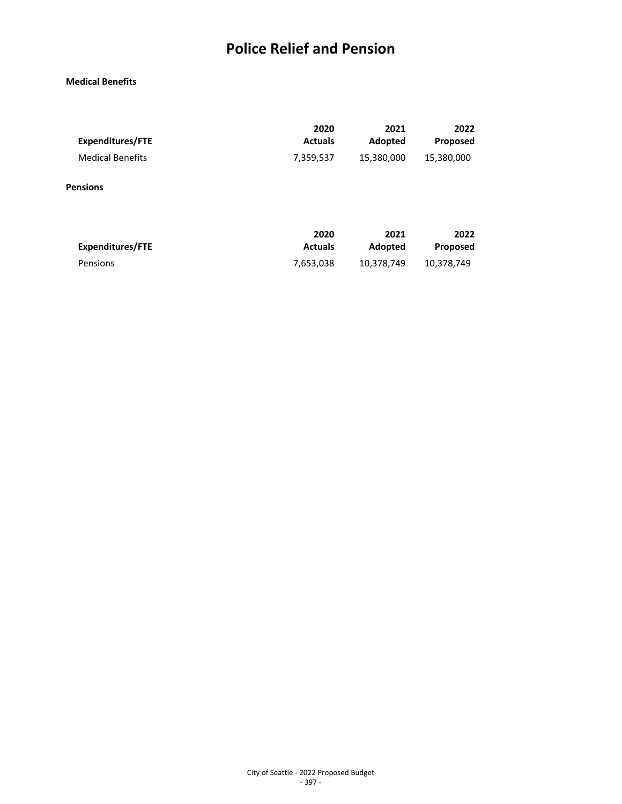### **Medical Benefits**

| <b>Expenditures/FTE</b> | 2020           | 2021       | 2022       |
|-------------------------|----------------|------------|------------|
|                         | <b>Actuals</b> | Adopted    | Proposed   |
| <b>Medical Benefits</b> | 7,359,537      | 15,380,000 | 15,380,000 |
| <b>Pensions</b>         |                |            |            |
| Expenditures/FTE        | 2020           | 2021       | 2022       |
|                         | <b>Actuals</b> | Adopted    | Proposed   |

Pensions 2,653,038 10,378,749 10,378,749

City of Seattle - 2022 Proposed Budget - 397 -